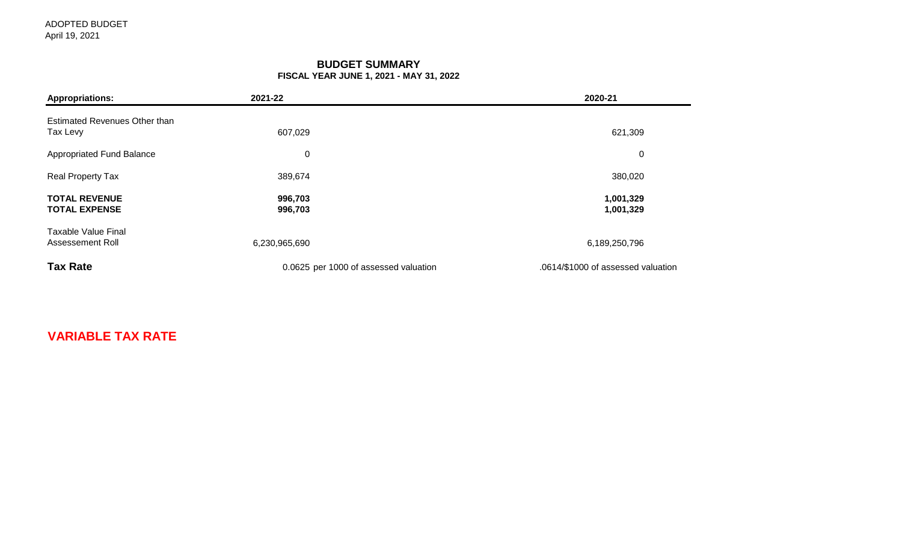### **BUDGET SUMMARY FISCAL YEAR JUNE 1, 2021 - MAY 31, 2022**

| <b>Appropriations:</b>                         | 2021-22                               | 2020-21                            |
|------------------------------------------------|---------------------------------------|------------------------------------|
| Estimated Revenues Other than<br>Tax Levy      | 607,029                               | 621,309                            |
| Appropriated Fund Balance                      | $\mathbf 0$                           | $\boldsymbol{0}$                   |
| <b>Real Property Tax</b>                       | 389,674                               | 380,020                            |
| <b>TOTAL REVENUE</b><br><b>TOTAL EXPENSE</b>   | 996,703<br>996,703                    | 1,001,329<br>1,001,329             |
| <b>Taxable Value Final</b><br>Assessement Roll | 6,230,965,690                         | 6,189,250,796                      |
| <b>Tax Rate</b>                                | 0.0625 per 1000 of assessed valuation | .0614/\$1000 of assessed valuation |

# **VARIABLE TAX RATE**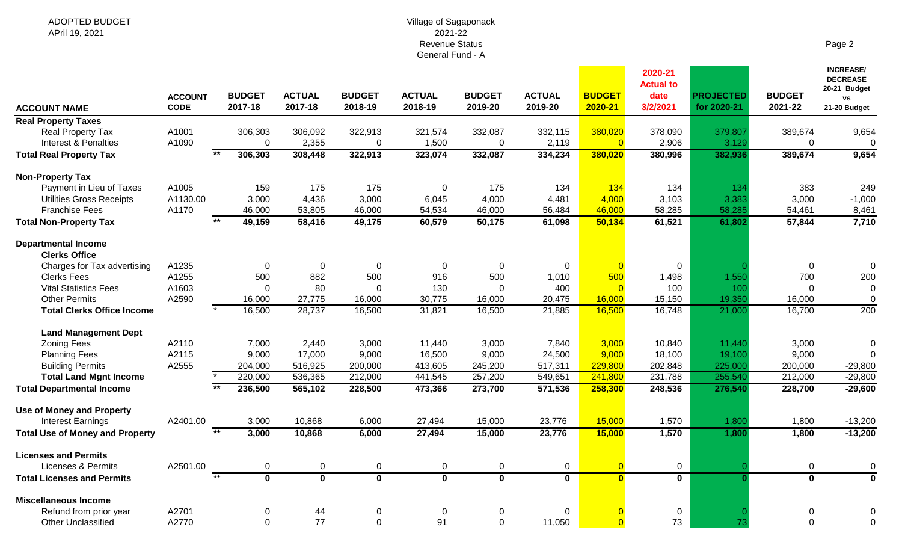#### Village of Sagaponack 2021-22 Revenue Status General Fund - A

|--|--|

| <b>ACCOUNT NAME</b>                    | <b>ACCOUNT</b><br><b>CODE</b> | <b>BUDGET</b><br>2017-18 | <b>ACTUAL</b><br>2017-18 | <b>BUDGET</b><br>2018-19 | <b>ACTUAL</b><br>2018-19 | <b>BUDGET</b><br>2019-20 | <b>ACTUAL</b><br>2019-20 | <b>BUDGET</b><br>2020-21 | 2020-21<br><b>Actual to</b><br>date<br>3/2/2021 | <b>PROJECTED</b><br>for 2020-21 | <b>BUDGET</b><br>2021-22 | <b>INCREASE/</b><br><b>DECREASE</b><br>20-21 Budget<br><b>VS</b><br>21-20 Budget |
|----------------------------------------|-------------------------------|--------------------------|--------------------------|--------------------------|--------------------------|--------------------------|--------------------------|--------------------------|-------------------------------------------------|---------------------------------|--------------------------|----------------------------------------------------------------------------------|
| <b>Real Property Taxes</b>             |                               |                          |                          |                          |                          |                          |                          |                          |                                                 |                                 |                          |                                                                                  |
| Real Property Tax                      | A1001                         | 306,303                  | 306,092                  | 322,913                  | 321,574                  | 332,087                  | 332,115                  | 380,020                  | 378,090                                         | 379,807                         | 389,674                  | 9,654                                                                            |
| <b>Interest &amp; Penalties</b>        | A1090                         | 0                        | 2,355                    | $\mathbf 0$              | 1,500                    | $\mathbf 0$              | 2,119                    | $\overline{0}$           | 2,906                                           | 3,129                           | 0                        | $\mathbf 0$                                                                      |
| <b>Total Real Property Tax</b>         |                               | 306,303                  | 308,448                  | 322,913                  | 323,074                  | 332,087                  | 334,234                  | 380,020                  | 380,996                                         | 382,936                         | 389,674                  | 9,654                                                                            |
| <b>Non-Property Tax</b>                |                               |                          |                          |                          |                          |                          |                          |                          |                                                 |                                 |                          |                                                                                  |
| Payment in Lieu of Taxes               | A1005                         | 159                      | 175                      | 175                      | $\mathbf 0$              | 175                      | 134                      | 134                      | 134                                             | 134                             | 383                      | 249                                                                              |
| <b>Utilities Gross Receipts</b>        | A1130.00                      | 3,000                    | 4,436                    | 3,000                    | 6,045                    | 4,000                    | 4,481                    | 4,000                    | 3,103                                           | 3,383                           | 3,000                    | $-1,000$                                                                         |
| <b>Franchise Fees</b>                  | A1170                         | 46,000                   | 53,805                   | 46,000                   | 54,534                   | 46,000                   | 56,484                   | 46,000                   | 58,285                                          | 58,285                          | 54,461                   | 8,461                                                                            |
| <b>Total Non-Property Tax</b>          |                               | 49,159                   | 58,416                   | 49,175                   | 60,579                   | 50,175                   | 61,098                   | 50,134                   | 61,521                                          | 61,802                          | 57,844                   | 7,710                                                                            |
| <b>Departmental Income</b>             |                               |                          |                          |                          |                          |                          |                          |                          |                                                 |                                 |                          |                                                                                  |
| <b>Clerks Office</b>                   |                               |                          |                          |                          |                          |                          |                          |                          |                                                 |                                 |                          |                                                                                  |
| Charges for Tax advertising            | A1235                         | $\overline{0}$           | $\mathbf 0$              | $\mathbf 0$              | $\mathbf 0$              | $\Omega$                 | 0                        | $\overline{0}$           | $\overline{0}$                                  |                                 | $\mathbf 0$              | $\mathbf 0$                                                                      |
| <b>Clerks Fees</b>                     | A1255                         | 500                      | 882                      | 500                      | 916                      | 500                      | 1,010                    | 500                      | 1,498                                           | 1,550                           | 700                      | 200                                                                              |
| <b>Vital Statistics Fees</b>           | A1603                         | $\Omega$                 | 80                       | $\Omega$                 | 130                      | $\Omega$                 | 400                      | $\Omega$                 | 100                                             | 100                             | $\Omega$                 | $\mathbf 0$                                                                      |
| <b>Other Permits</b>                   | A2590                         | 16,000                   | 27,775                   | 16,000                   | 30,775                   | 16,000                   | 20,475                   | 16,000                   | 15,150                                          | 19,350                          | 16,000                   | $\mathbf 0$                                                                      |
| <b>Total Clerks Office Income</b>      |                               | 16,500                   | 28,737                   | 16,500                   | 31,821                   | 16,500                   | 21,885                   | 16,500                   | 16,748                                          | 21,000                          | 16,700                   | 200                                                                              |
| <b>Land Management Dept</b>            |                               |                          |                          |                          |                          |                          |                          |                          |                                                 |                                 |                          |                                                                                  |
| <b>Zoning Fees</b>                     | A2110                         | 7,000                    | 2,440                    | 3,000                    | 11,440                   | 3,000                    | 7,840                    | 3,000                    | 10,840                                          | 11,440                          | 3,000                    | 0                                                                                |
| <b>Planning Fees</b>                   | A2115                         | 9,000                    | 17,000                   | 9,000                    | 16,500                   | 9,000                    | 24,500                   | 9,000                    | 18,100                                          | 19,100                          | 9,000                    | $\Omega$                                                                         |
| <b>Building Permits</b>                | A2555                         | 204,000                  | 516,925                  | 200,000                  | 413,605                  | 245,200                  | 517,311                  | 229,800                  | 202,848                                         | 225,000                         | 200,000                  | $-29,800$                                                                        |
| <b>Total Land Mgnt Income</b>          |                               | 220,000                  | 536,365                  | 212,000                  | 441,545                  | 257,200                  | 549,651                  | 241,800                  | 231,788                                         | 255,540                         | 212,000                  | $-29,800$                                                                        |
| <b>Total Departmental Income</b>       |                               | 236,500                  | 565,102                  | 228,500                  | 473,366                  | 273,700                  | 571,536                  | 258,300                  | 248,536                                         | 276,540                         | 228,700                  | $-29,600$                                                                        |
| <b>Use of Money and Property</b>       |                               |                          |                          |                          |                          |                          |                          |                          |                                                 |                                 |                          |                                                                                  |
| <b>Interest Earnings</b>               | A2401.00                      | 3,000                    | 10,868                   | 6,000                    | 27,494                   | 15,000                   | 23,776                   | 15,000                   | 1,570                                           | 1,800                           | 1,800                    | $-13,200$                                                                        |
| <b>Total Use of Money and Property</b> |                               | 3,000                    | 10,868                   | 6,000                    | 27,494                   | 15,000                   | 23,776                   | 15,000                   | 1,570                                           | 1,800                           | 1,800                    | $-13,200$                                                                        |
| <b>Licenses and Permits</b>            |                               |                          |                          |                          |                          |                          |                          |                          |                                                 |                                 |                          |                                                                                  |
| <b>Licenses &amp; Permits</b>          | A2501.00                      | $\mathbf 0$              | $\mathbf 0$              | 0                        | $\mathbf 0$              | $\mathbf 0$              | 0                        | $\overline{0}$           | $\mathbf 0$                                     |                                 | $\mathbf 0$              | $\mathbf 0$                                                                      |
| <b>Total Licenses and Permits</b>      |                               | $+$<br>$\bf{0}$          | $\bf{0}$                 | $\bf{0}$                 | $\mathbf 0$              | $\mathbf 0$              | $\overline{\mathbf{0}}$  | $\overline{\mathbf{0}}$  | $\mathbf 0$                                     |                                 | $\bf{0}$                 | $\bf{0}$                                                                         |
| <b>Miscellaneous Income</b>            |                               |                          |                          |                          |                          |                          |                          |                          |                                                 |                                 |                          |                                                                                  |
| Refund from prior year                 | A2701                         | 0                        | 44                       | 0                        | $\mathbf 0$              | $\Omega$                 | 0                        |                          | $\mathbf 0$                                     |                                 | $\Omega$                 | 0                                                                                |
| <b>Other Unclassified</b>              | A2770                         | $\mathbf 0$              | 77                       | $\Omega$                 | 91                       | $\Omega$                 | 11,050                   | $\Omega$                 | 73                                              | 73                              | $\Omega$                 | $\mathbf 0$                                                                      |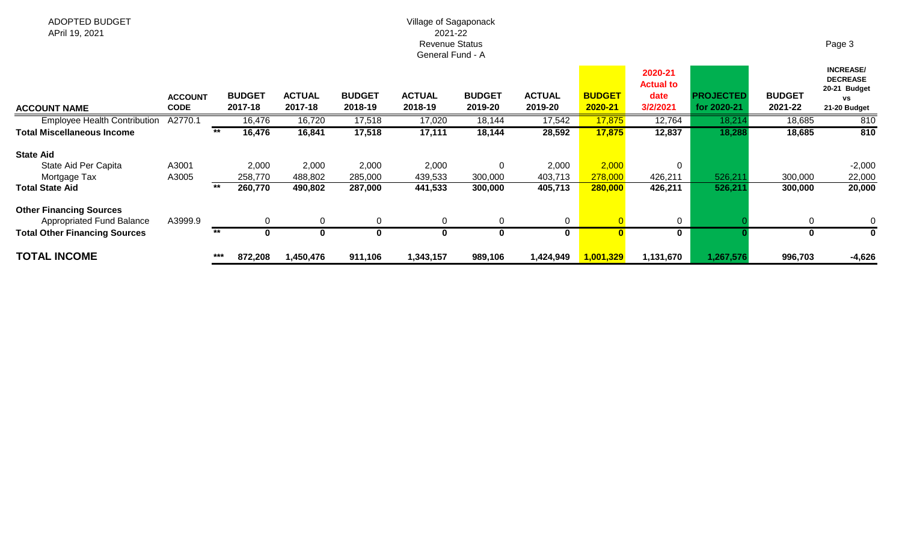#### Village of Sagaponack 2021-22 Revenue Status General Fund - A

| <b>ACCOUNT NAME</b>                                         | <b>ACCOUNT</b><br><b>CODE</b> |       | <b>BUDGET</b><br>2017-18 | <b>ACTUAL</b><br>2017-18 | <b>BUDGET</b><br>2018-19 | <b>ACTUAL</b><br>2018-19 | <b>BUDGET</b><br>2019-20 | <b>ACTUAL</b><br>2019-20 | <b>BUDGET</b><br>2020-21 | 2020-21<br><b>Actual to</b><br>date<br>3/2/2021 | <b>PROJECTED</b><br>for 2020-21 | <b>BUDGET</b><br>2021-22 | <b>INCREASE/</b><br><b>DECREASE</b><br>20-21 Budget<br>٧S<br>21-20 Budget |
|-------------------------------------------------------------|-------------------------------|-------|--------------------------|--------------------------|--------------------------|--------------------------|--------------------------|--------------------------|--------------------------|-------------------------------------------------|---------------------------------|--------------------------|---------------------------------------------------------------------------|
| <b>Employee Health Contribution</b>                         | A2770.1                       |       | 16,476                   | 16,720                   | 17,518                   | 17,020                   | 18,144                   | 17,542                   | 17,875                   | 12,764                                          | 18,21                           | 18,685                   | 810                                                                       |
| <b>Total Miscellaneous Income</b>                           |                               | $***$ | 16,476                   | 16,841                   | 17,518                   | 17,111                   | 18,144                   | 28,592                   | 17,875                   | 12,837                                          | 18,288                          | 18,685                   | 810                                                                       |
| <b>State Aid</b>                                            |                               |       |                          |                          |                          |                          |                          |                          |                          |                                                 |                                 |                          |                                                                           |
| State Aid Per Capita                                        | A3001                         |       | 2,000                    | 2,000                    | 2,000                    | 2,000                    | $\mathbf 0$              | 2,000                    | 2,000                    | 0                                               |                                 |                          | $-2,000$                                                                  |
| Mortgage Tax                                                | A3005                         |       | 258,770                  | 488,802                  | 285,000                  | 439,533                  | 300,000                  | 403,713                  | 278,000                  | 426,211                                         | 526,21                          | 300,000                  | 22,000                                                                    |
| <b>Total State Aid</b>                                      |                               | $***$ | 260,770                  | 490,802                  | 287,000                  | 441,533                  | 300,000                  | 405,713                  | 280,000                  | 426,211                                         | 526,21'                         | 300,000                  | 20,000                                                                    |
| <b>Other Financing Sources</b><br>Appropriated Fund Balance | A3999.9                       |       |                          | $\Omega$                 | $\Omega$                 |                          | $\mathbf 0$              | 0                        |                          | 0                                               |                                 | $\Omega$                 | 0                                                                         |
| <b>Total Other Financing Sources</b>                        |                               | $***$ |                          | 0                        | 0                        |                          | 0                        | 0                        |                          | 0                                               |                                 | 0                        | 0                                                                         |
| <b>TOTAL INCOME</b>                                         |                               | $***$ | 872,208                  | 1,450,476                | 911,106                  | 1,343,157                | 989,106                  | 1,424,949                | 1,001,329                | 1,131,670                                       | 1,267,576                       | 996,703                  | $-4,626$                                                                  |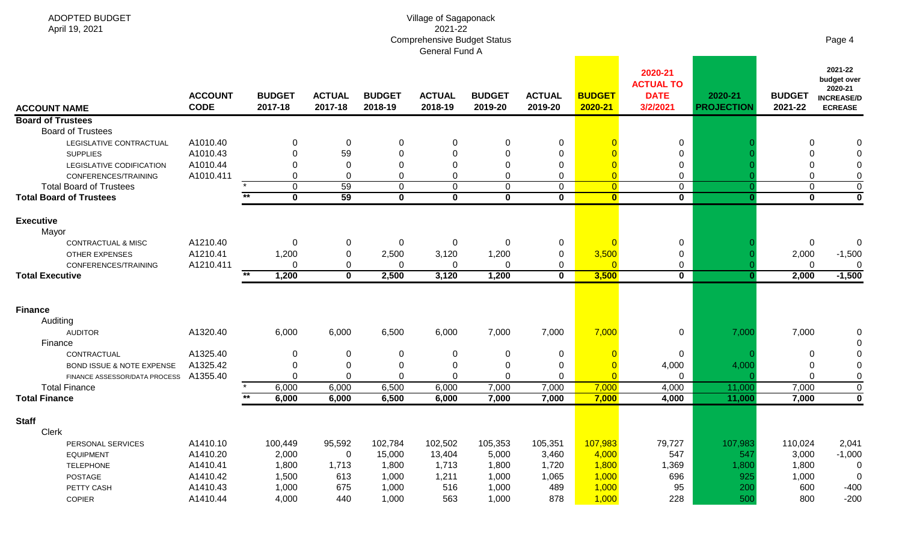| ADOPTED BUDGET<br>April 19, 2021       |                               |                          |                          |                          | Village of Sagaponack<br>2021-22<br><b>Comprehensive Budget Status</b> |                          |                          |                          |                                                        |                              |                          | Page 4                                                                   |
|----------------------------------------|-------------------------------|--------------------------|--------------------------|--------------------------|------------------------------------------------------------------------|--------------------------|--------------------------|--------------------------|--------------------------------------------------------|------------------------------|--------------------------|--------------------------------------------------------------------------|
|                                        |                               |                          |                          |                          | General Fund A                                                         |                          |                          |                          |                                                        |                              |                          |                                                                          |
| <b>ACCOUNT NAME</b>                    | <b>ACCOUNT</b><br><b>CODE</b> | <b>BUDGET</b><br>2017-18 | <b>ACTUAL</b><br>2017-18 | <b>BUDGET</b><br>2018-19 | <b>ACTUAL</b><br>2018-19                                               | <b>BUDGET</b><br>2019-20 | <b>ACTUAL</b><br>2019-20 | <b>BUDGET</b><br>2020-21 | 2020-21<br><b>ACTUAL TO</b><br><b>DATE</b><br>3/2/2021 | 2020-21<br><b>PROJECTION</b> | <b>BUDGET</b><br>2021-22 | 2021-22<br>budget over<br>2020-21<br><b>INCREASE/D</b><br><b>ECREASE</b> |
| <b>Board of Trustees</b>               |                               |                          |                          |                          |                                                                        |                          |                          |                          |                                                        |                              |                          |                                                                          |
| <b>Board of Trustees</b>               |                               |                          |                          |                          |                                                                        |                          |                          |                          |                                                        |                              |                          |                                                                          |
| LEGISLATIVE CONTRACTUAL                | A1010.40                      | 0                        | 0                        | $\Omega$                 | 0                                                                      | 0                        | 0                        |                          | $\mathbf 0$                                            |                              | 0                        |                                                                          |
| <b>SUPPLIES</b>                        | A1010.43                      | 0                        | 59                       | $\Omega$                 | $\Omega$                                                               | 0                        | $\mathbf 0$              |                          | 0                                                      |                              | $\Omega$                 | 0                                                                        |
| LEGISLATIVE CODIFICATION               | A1010.44                      | <sup>0</sup>             | $\Omega$                 | $\Omega$                 | $\Omega$                                                               | 0                        | $\mathbf 0$              |                          | 0                                                      |                              | $\Omega$                 | 0                                                                        |
| CONFERENCES/TRAINING                   | A1010.411                     | $\Omega$                 | 0                        | 0                        | 0                                                                      | 0                        | $\mathbf 0$              | $\overline{0}$           | 0                                                      |                              | $\mathbf 0$              | $\boldsymbol{0}$                                                         |
| <b>Total Board of Trustees</b>         |                               | 0<br>$*$                 | 59                       | $\pmb{0}$                | 0                                                                      | 0                        | $\mathbf 0$              | $\overline{0}$           | $\mathbf 0$                                            |                              | 0                        | $\boldsymbol{0}$                                                         |
| <b>Total Board of Trustees</b>         |                               | $\mathbf 0$              | 59                       | $\mathbf 0$              | $\mathbf 0$                                                            | $\mathbf{0}$             | $\mathbf 0$              | $\mathbf{0}$             | $\mathbf{0}$                                           |                              | $\mathbf 0$              | $\overline{\mathbf{0}}$                                                  |
| <b>Executive</b><br>Mayor              |                               |                          |                          |                          |                                                                        |                          |                          |                          |                                                        |                              |                          |                                                                          |
| CONTRACTUAL & MISC                     | A1210.40                      | $\Omega$                 | 0                        | $\pmb{0}$                | 0                                                                      | 0                        | $\boldsymbol{0}$         | $\overline{0}$           | 0                                                      |                              | $\mathbf 0$              | 0                                                                        |
| <b>OTHER EXPENSES</b>                  | A1210.41                      | 1,200                    | 0                        | 2,500                    | 3,120                                                                  | 1,200                    | $\mathbf 0$              | 3,500                    | 0                                                      |                              | 2,000                    | $-1,500$                                                                 |
| CONFERENCES/TRAINING                   | A1210.411                     | <sup>0</sup>             | 0                        | $\Omega$                 | 0                                                                      | $\Omega$                 | $\pmb{0}$                | $\Omega$                 | 0                                                      |                              | $\mathbf 0$              | 0                                                                        |
| <b>Total Executive</b>                 |                               | 1,200<br>$**$            | $\bf{0}$                 | 2,500                    | 3,120                                                                  | 1,200                    | $\mathbf 0$              | 3,500                    | $\mathbf 0$                                            |                              | 2,000                    | $-1,500$                                                                 |
| <b>Finance</b>                         |                               |                          |                          |                          |                                                                        |                          |                          |                          |                                                        |                              |                          |                                                                          |
| Auditing                               |                               |                          |                          |                          |                                                                        |                          |                          |                          |                                                        |                              |                          |                                                                          |
| <b>AUDITOR</b><br>Finance              | A1320.40                      | 6,000                    | 6,000                    | 6,500                    | 6,000                                                                  | 7,000                    | 7,000                    | 7,000                    | 0                                                      | 7,000                        | 7,000                    | 0<br>$\mathbf 0$                                                         |
| CONTRACTUAL                            | A1325.40                      | 0                        | 0                        | 0                        | 0                                                                      | 0                        | 0                        | $\overline{0}$           | 0                                                      |                              | 0                        | 0                                                                        |
| <b>BOND ISSUE &amp; NOTE EXPENSE</b>   | A1325.42                      | 0                        | 0                        | $\Omega$                 | 0                                                                      | 0                        | $\mathbf 0$              |                          | 4,000                                                  | 4,000                        | $\mathbf 0$              | $\pmb{0}$                                                                |
| FINANCE ASSESSOR/DATA PROCESS A1355.40 |                               | $\Omega$                 | 0                        | $\Omega$                 | 0                                                                      | $\Omega$                 | $\mathbf 0$              |                          | 0                                                      |                              | $\mathbf 0$              | $\pmb{0}$                                                                |
| <b>Total Finance</b>                   |                               | 6,000                    | 6,000                    | 6,500                    | 6,000                                                                  | 7,000                    | 7,000                    | 7,000                    | 4,000                                                  | 11,000                       | 7,000                    | $\pmb{0}$                                                                |
| <b>Total Finance</b>                   |                               | 6,000                    | 6,000                    | 6,500                    | 6,000                                                                  | 7,000                    | 7,000                    | 7,000                    | 4,000                                                  | 11,000                       | 7,000                    | $\overline{\mathbf{0}}$                                                  |
| <b>Staff</b>                           |                               |                          |                          |                          |                                                                        |                          |                          |                          |                                                        |                              |                          |                                                                          |
| Clerk                                  |                               |                          |                          |                          |                                                                        |                          |                          |                          |                                                        |                              |                          |                                                                          |
| PERSONAL SERVICES                      | A1410.10                      | 100,449                  | 95,592                   | 102,784                  | 102,502                                                                | 105,353                  | 105,351                  | 107,983                  | 79,727                                                 | 107,983                      | 110,024                  | 2,041                                                                    |
| <b>EQUIPMENT</b>                       | A1410.20                      | 2,000                    | $\overline{0}$           | 15,000                   | 13,404                                                                 | 5,000                    | 3,460                    | 4,000                    | 547                                                    | 547                          | 3,000                    | $-1,000$                                                                 |
| <b>TELEPHONE</b><br>POSTAGE            | A1410.41<br>A1410.42          | 1,800<br>1,500           | 1,713<br>613             | 1,800<br>1,000           | 1,713<br>1,211                                                         | 1,800<br>1,000           | 1,720<br>1,065           | 1,800<br>1,000           | 1,369<br>696                                           | 1,800<br>925                 | 1,800<br>1,000           | 0<br>$\mathbf 0$                                                         |
| PETTY CASH                             | A1410.43                      | 1,000                    | 675                      | 1,000                    | 516                                                                    | 1,000                    | 489                      | 1,000                    | 95                                                     | 200                          | 600                      | $-400$                                                                   |
| COPIER                                 | A1410.44                      | 4,000                    | 440                      | 1,000                    | 563                                                                    | 1,000                    | 878                      | 1,000                    | 228                                                    | 500                          | 800                      | $-200$                                                                   |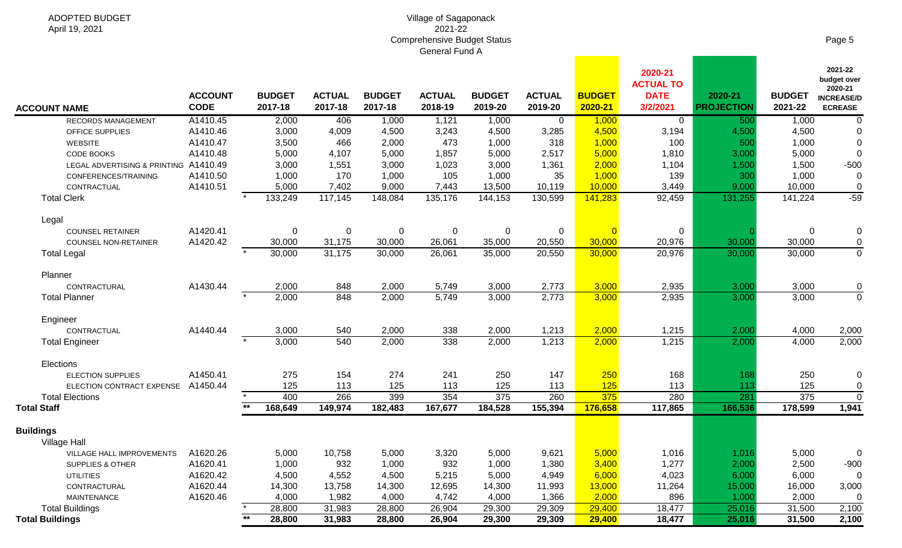|                                                           |                               |                          |                          |                          | OGIIGIAI I UIIU A        |                          |                          |                          |                                                        |                              |                          |                                                                          |
|-----------------------------------------------------------|-------------------------------|--------------------------|--------------------------|--------------------------|--------------------------|--------------------------|--------------------------|--------------------------|--------------------------------------------------------|------------------------------|--------------------------|--------------------------------------------------------------------------|
| <b>ACCOUNT NAME</b>                                       | <b>ACCOUNT</b><br><b>CODE</b> | <b>BUDGET</b><br>2017-18 | <b>ACTUAL</b><br>2017-18 | <b>BUDGET</b><br>2017-18 | <b>ACTUAL</b><br>2018-19 | <b>BUDGET</b><br>2019-20 | <b>ACTUAL</b><br>2019-20 | <b>BUDGET</b><br>2020-21 | 2020-21<br><b>ACTUAL TO</b><br><b>DATE</b><br>3/2/2021 | 2020-21<br><b>PROJECTION</b> | <b>BUDGET</b><br>2021-22 | 2021-22<br>budget over<br>2020-21<br><b>INCREASE/D</b><br><b>ECREASE</b> |
| RECORDS MANAGEMENT                                        | A1410.45                      | 2,000                    | 406                      | 1,000                    | 1,121                    | 1,000                    | $\overline{0}$           | 1,000                    | $\overline{0}$                                         | 500                          | 1,000                    | $\mathbf 0$                                                              |
| OFFICE SUPPLIES                                           | A1410.46                      | 3,000                    | 4,009                    | 4,500                    | 3,243                    | 4,500                    | 3,285                    | 4,500                    | 3,194                                                  | 4,500                        | 4,500                    | 0                                                                        |
| <b>WEBSITE</b>                                            | A1410.47                      | 3,500                    | 466                      | 2,000                    | 473                      | 1,000                    | 318                      | 1,000                    | 100                                                    | 500                          | 1,000                    | $\mathbf 0$                                                              |
| CODE BOOKS                                                | A1410.48                      | 5,000                    | 4,107                    | 5,000                    | 1,857                    | 5,000                    | 2,517                    | 5,000                    | 1,810                                                  | 3,000                        | 5,000                    | $\mathbf 0$                                                              |
| LEGAL ADVERTISING & PRINTING A1410.49                     |                               | 3,000                    | 1,551                    | 3,000                    | 1,023                    | 3,000                    | 1,361                    | 2,000                    | 1,104                                                  | 1,500                        | 1,500                    | $-500$                                                                   |
| CONFERENCES/TRAINING                                      | A1410.50                      | 1,000                    | 170                      | 1,000                    | 105                      | 1,000                    | 35                       | 1,000                    | 139                                                    | 300                          | 1,000                    | $\boldsymbol{0}$                                                         |
| CONTRACTUAL                                               | A1410.51                      | 5,000                    | 7,402                    | 9,000                    | 7,443                    | 13,500                   | 10,119                   | 10,000                   | 3,449                                                  | 9,000                        | 10,000                   | $\pmb{0}$                                                                |
| <b>Total Clerk</b>                                        |                               | 133,249                  | 117,145                  | 148,084                  | 135,176                  | 144,153                  | 130,599                  | 141,283                  | 92,459                                                 | 131,255                      | 141,224                  | $-59$                                                                    |
| Legal                                                     |                               |                          |                          |                          |                          |                          |                          |                          |                                                        |                              |                          |                                                                          |
| <b>COUNSEL RETAINER</b>                                   | A1420.41                      | $\Omega$                 | $\mathbf 0$              | $\mathbf 0$              | 0                        | 0                        | $\mathbf 0$              | $\overline{0}$           | $\overline{0}$                                         |                              | $\mathbf 0$              | 0                                                                        |
| <b>COUNSEL NON-RETAINER</b>                               | A1420.42                      | 30,000                   | 31,175                   | 30,000                   | 26,061                   | 35,000                   | 20,550                   | 30,000                   | 20,976                                                 | 30,000                       | 30,000                   | 0                                                                        |
| <b>Total Legal</b>                                        |                               | 30,000                   | 31,175                   | 30,000                   | 26,061                   | 35,000                   | 20,550                   | 30,000                   | 20,976                                                 | 30,000                       | 30,000                   | $\overline{0}$                                                           |
| Planner                                                   |                               |                          |                          |                          |                          |                          |                          |                          |                                                        |                              |                          |                                                                          |
| CONTRACTURAL                                              | A1430.44                      | 2,000                    | 848                      | 2,000                    | 5,749                    | 3,000                    | 2,773                    | 3,000                    | 2,935                                                  | 3,000                        | 3,000                    | 0                                                                        |
| <b>Total Planner</b>                                      |                               | 2,000                    | 848                      | 2,000                    | 5,749                    | 3,000                    | 2,773                    | 3,000                    | 2,935                                                  | 3,000                        | 3,000                    | $\mathbf 0$                                                              |
| Engineer                                                  |                               |                          |                          |                          |                          |                          |                          |                          |                                                        |                              |                          |                                                                          |
| CONTRACTUAL                                               | A1440.44                      | 3,000                    | 540                      | 2,000                    | 338                      | 2,000                    | 1,213                    | 2,000                    | 1,215                                                  | 2,000                        | 4,000                    | 2,000                                                                    |
| <b>Total Engineer</b>                                     |                               | $\star$<br>3,000         | 540                      | 2,000                    | 338                      | 2,000                    | 1,213                    | 2,000                    | 1,215                                                  | 2,000                        | 4,000                    | 2,000                                                                    |
| Elections                                                 |                               |                          |                          |                          |                          |                          |                          |                          |                                                        |                              |                          |                                                                          |
| ELECTION SUPPLIES                                         | A1450.41                      | 275                      | 154                      | 274                      | 241                      | 250                      | 147                      | 250                      | 168                                                    | 168                          | 250                      | 0                                                                        |
| ELECTION CONTRACT EXPENSE                                 | A1450.44                      | 125                      | 113                      | 125                      | 113                      | 125                      | 113                      | 125                      | 113                                                    | 113                          | 125                      | $\mathbf 0$                                                              |
| <b>Total Elections</b>                                    |                               | 400                      | 266                      | 399                      | 354                      | 375                      | 260                      | 375                      | 280                                                    | 281                          | 375                      | $\mathbf 0$                                                              |
| <b>Total Staff</b>                                        |                               | 168,649                  | 149,974                  | 182,483                  | 167,677                  | 184,528                  | 155,394                  | 176,658                  | 117,865                                                | 166,536                      | 178,599                  | 1,941                                                                    |
| <b>Buildings</b>                                          |                               |                          |                          |                          |                          |                          |                          |                          |                                                        |                              |                          |                                                                          |
| <b>Village Hall</b><br>VILLAGE HALL IMPROVEMENTS A1620.26 |                               | 5,000                    | 10,758                   | 5,000                    | 3,320                    | 5,000                    | 9,621                    | 5,000                    | 1,016                                                  | 1,016                        | 5,000                    |                                                                          |
| SUPPLIES & OTHER                                          | A1620.41                      | 1,000                    | 932                      | 1,000                    | 932                      | 1,000                    | 1,380                    | 3,400                    | 1,277                                                  | 2,000                        | 2,500                    | $-900$                                                                   |
| <b>UTILITIES</b>                                          | A1620.42                      | 4,500                    | 4,552                    | 4,500                    | 5,215                    | 5,000                    | 4,949                    | 6,000                    | 4,023                                                  | 6,000                        | 6,000                    | 0                                                                        |
| CONTRACTURAL                                              | A1620.44                      | 14,300                   | 13,758                   | 14,300                   | 12,695                   | 14,300                   | 11,993                   | 13,000                   | 11,264                                                 | 15,000                       | 16,000                   | 3,000                                                                    |
| MAINTENANCE                                               | A1620.46                      | 4,000                    | 1,982                    | 4,000                    | 4,742                    | 4,000                    | 1,366                    | 2,000                    | 896                                                    | 1,000                        | 2,000                    | 0                                                                        |
| <b>Total Buildings</b>                                    |                               | 28,800                   | 31,983                   | 28,800                   | 26,904                   | 29,300                   | 29,309                   | 29,400                   | 18,477                                                 | 25,016                       | 31,500                   | 2,100                                                                    |
| <b>Total Buildings</b>                                    |                               | $**$<br>28,800           | 31,983                   | 28,800                   | 26,904                   | 29,300                   | 29,309                   | 29,400                   | 18,477                                                 | 25,016                       | 31,500                   | 2,100                                                                    |
|                                                           |                               |                          |                          |                          |                          |                          |                          |                          |                                                        |                              |                          |                                                                          |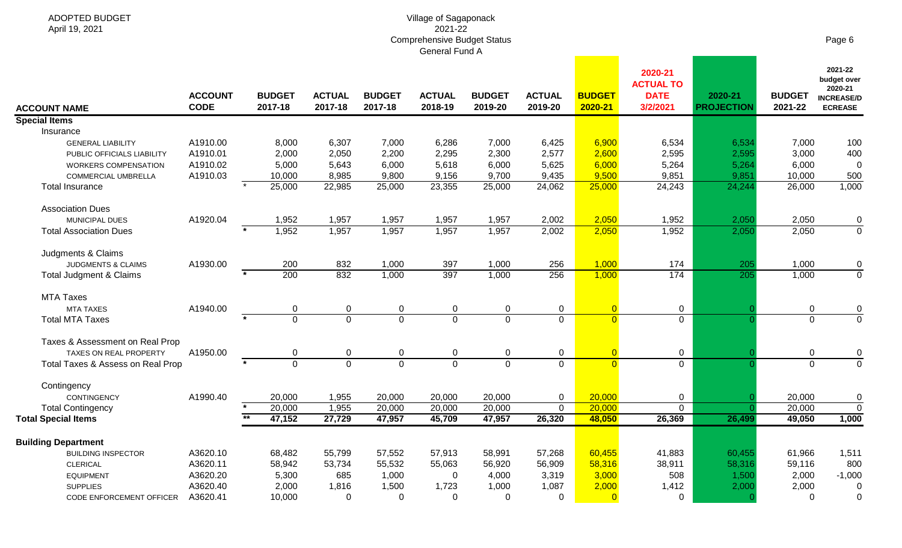**Contract Contract** 

|                                             | <b>ACCOUNT</b> |       | <b>BUDGET</b>    | <b>ACTUAL</b>  | <b>BUDGET</b>  | <b>ACTUAL</b> | <b>BUDGET</b>  | <b>ACTUAL</b> | <b>BUDGET</b>  | 2020-21<br><b>ACTUAL TO</b><br><b>DATE</b> | 2020-21           | <b>BUDGET</b>  | 2021-22<br>budget over<br>2020-21<br><b>INCREASE/D</b> |
|---------------------------------------------|----------------|-------|------------------|----------------|----------------|---------------|----------------|---------------|----------------|--------------------------------------------|-------------------|----------------|--------------------------------------------------------|
| <b>ACCOUNT NAME</b>                         | <b>CODE</b>    |       | 2017-18          | 2017-18        | 2017-18        | 2018-19       | 2019-20        | 2019-20       | 2020-21        | 3/2/2021                                   | <b>PROJECTION</b> | 2021-22        | <b>ECREASE</b>                                         |
| <b>Special Items</b><br>Insurance           |                |       |                  |                |                |               |                |               |                |                                            |                   |                |                                                        |
|                                             | A1910.00       |       | 8,000            | 6,307          | 7,000          | 6,286         | 7,000          | 6,425         | 6,900          |                                            |                   | 7,000          | 100                                                    |
| <b>GENERAL LIABILITY</b>                    | A1910.01       |       | 2,000            | 2,050          | 2,200          | 2,295         | 2,300          | 2,577         | 2,600          | 6,534<br>2,595                             | 6,534<br>2,595    | 3,000          | 400                                                    |
| PUBLIC OFFICIALS LIABILITY                  | A1910.02       |       | 5,000            | 5,643          | 6,000          | 5,618         | 6,000          | 5,625         | 6,000          | 5,264                                      | 5,264             | 6,000          | 0                                                      |
| WORKERS COMPENSATION<br>COMMERCIAL UMBRELLA | A1910.03       |       | 10,000           | 8,985          | 9,800          | 9,156         | 9,700          | 9,435         | 9,500          | 9,851                                      | 9,851             | 10,000         | 500                                                    |
| <b>Total Insurance</b>                      |                |       | 25,000           | 22,985         | 25,000         | 23,355        | 25,000         | 24,062        | 25,000         | 24,243                                     | 24,244            | 26,000         | 1,000                                                  |
|                                             |                |       |                  |                |                |               |                |               |                |                                            |                   |                |                                                        |
| <b>Association Dues</b>                     |                |       |                  |                |                |               |                |               |                |                                            |                   |                |                                                        |
| MUNICIPAL DUES                              | A1920.04       |       | 1,952            | 1,957          | 1,957          | 1,957         | 1,957          | 2,002         | 2,050          | 1,952                                      | 2,050             | 2,050          | 0                                                      |
| <b>Total Association Dues</b>               |                |       | 1,952            | 1,957          | 1,957          | 1,957         | 1,957          | 2,002         | 2,050          | 1,952                                      | 2,050             | 2,050          | $\mathbf 0$                                            |
| Judgments & Claims                          |                |       |                  |                |                |               |                |               |                |                                            |                   |                |                                                        |
| <b>JUDGMENTS &amp; CLAIMS</b>               | A1930.00       |       | 200              | 832            | 1,000          | 397           | 1,000          | 256           | 1,000          | 174                                        | 205               | 1,000          | 0                                                      |
| Total Judgment & Claims                     |                |       | $\overline{200}$ | 832            | 1,000          | 397           | 1,000          | 256           | 1,000          | $\frac{1}{174}$                            | 205               | 1,000          | $\mathbf 0$                                            |
| <b>MTA Taxes</b>                            |                |       |                  |                |                |               |                |               |                |                                            |                   |                |                                                        |
| <b>MTA TAXES</b>                            | A1940.00       |       | 0                | $\mathbf 0$    | 0              | 0             | 0              | $\mathbf 0$   | $\overline{0}$ | $\mathbf 0$                                |                   | $\pmb{0}$      | $\mathbf 0$                                            |
| <b>Total MTA Taxes</b>                      |                |       | $\Omega$         | $\overline{0}$ | $\overline{0}$ | $\Omega$      | $\overline{0}$ | $\mathbf 0$   | $\Omega$       | $\Omega$                                   |                   | $\mathbf 0$    | $\overline{0}$                                         |
| Taxes & Assessment on Real Prop             |                |       |                  |                |                |               |                |               |                |                                            |                   |                |                                                        |
| TAXES ON REAL PROPERTY                      | A1950.00       |       | 0                | 0              | $\pmb{0}$      | 0             | 0              | $\mathbf 0$   | $\Omega$       | 0                                          |                   | 0              | 0                                                      |
| Total Taxes & Assess on Real Prop           |                |       | $\Omega$         | $\overline{0}$ | $\overline{0}$ | $\Omega$      | $\mathbf 0$    | $\mathbf 0$   | $\Omega$       | $\overline{0}$                             |                   | $\overline{0}$ | $\overline{0}$                                         |
|                                             |                |       |                  |                |                |               |                |               |                |                                            |                   |                |                                                        |
| Contingency<br><b>CONTINGENCY</b>           | A1990.40       |       | 20,000           | 1,955          | 20,000         | 20,000        | 20,000         | $\mathbf 0$   | 20,000         | 0                                          |                   | 20,000         | 0                                                      |
| <b>Total Contingency</b>                    |                |       | 20,000           | 1,955          | 20,000         | 20,000        | 20,000         | $\mathbf 0$   | 20,000         | $\overline{0}$                             |                   | 20,000         | $\overline{0}$                                         |
| <b>Total Special Items</b>                  |                | $***$ | 47,152           | 27,729         | 47,957         | 45,709        | 47,957         | 26,320        | 48,050         | 26,369                                     | 26,499            | 49,050         | 1,000                                                  |
|                                             |                |       |                  |                |                |               |                |               |                |                                            |                   |                |                                                        |
| <b>Building Department</b>                  |                |       |                  |                |                |               |                |               |                |                                            |                   |                |                                                        |
| <b>BUILDING INSPECTOR</b>                   | A3620.10       |       | 68,482           | 55,799         | 57,552         | 57,913        | 58,991         | 57,268        | 60,455         | 41,883                                     | 60,455            | 61,966         | 1,511                                                  |
| <b>CLERICAL</b>                             | A3620.11       |       | 58,942           | 53,734         | 55,532         | 55,063        | 56,920         | 56,909        | 58,316         | 38,911                                     | 58,316            | 59,116         | 800                                                    |
| <b>EQUIPMENT</b>                            | A3620.20       |       | 5,300            | 685            | 1,000          | $\Omega$      | 4,000          | 3,319         | 3,000          | 508                                        | 1,500             | 2,000          | $-1,000$                                               |
| <b>SUPPLIES</b>                             | A3620.40       |       | 2,000            | 1,816          | 1,500          | 1,723         | 1,000          | 1,087         | 2,000          | 1,412                                      | 2,000             | 2,000          | 0                                                      |
| CODE ENFORCEMENT OFFICER                    | A3620.41       |       | 10,000           | $\Omega$       | $\Omega$       | $\Omega$      | $\Omega$       | $\Omega$      | $\Omega$       | 0                                          | O                 | $\Omega$       | 0                                                      |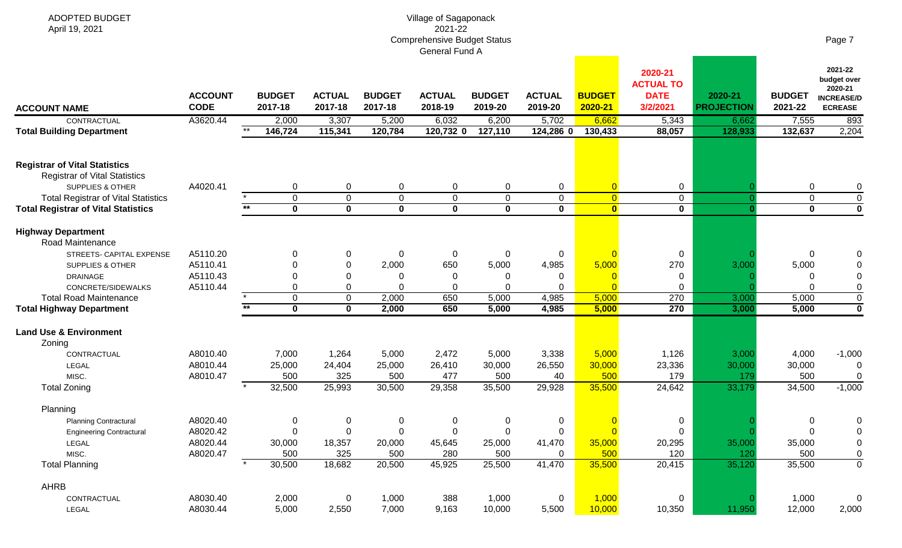ADOPTED BUDGET

April 19, 2021

|                                               |                               |              |                          |                            |                          | OCHCLAH UHU A            |                          |                          |                          |                                                        |                              |                          |                                                                          |
|-----------------------------------------------|-------------------------------|--------------|--------------------------|----------------------------|--------------------------|--------------------------|--------------------------|--------------------------|--------------------------|--------------------------------------------------------|------------------------------|--------------------------|--------------------------------------------------------------------------|
| <b>ACCOUNT NAME</b>                           | <b>ACCOUNT</b><br><b>CODE</b> |              | <b>BUDGET</b><br>2017-18 | <b>ACTUAL</b><br>2017-18   | <b>BUDGET</b><br>2017-18 | <b>ACTUAL</b><br>2018-19 | <b>BUDGET</b><br>2019-20 | <b>ACTUAL</b><br>2019-20 | <b>BUDGET</b><br>2020-21 | 2020-21<br><b>ACTUAL TO</b><br><b>DATE</b><br>3/2/2021 | 2020-21<br><b>PROJECTION</b> | <b>BUDGET</b><br>2021-22 | 2021-22<br>budget over<br>2020-21<br><b>INCREASE/D</b><br><b>ECREASE</b> |
| CONTRACTUAL                                   | A3620.44                      |              | 2,000                    | 3,307                      | 5,200                    | 6,032                    | 6,200                    | 5,702                    | 6,662                    | 5,343                                                  | 6,662                        | 7,555                    | 893                                                                      |
| <b>Total Building Department</b>              |                               | $\star\star$ | 146,724                  | 115,341                    | 120,784                  | 120,732 0                | 127,110                  | 124,286 0                | 130,433                  | 88,057                                                 | 128,933                      | 132,637                  | 2,204                                                                    |
| <b>Registrar of Vital Statistics</b>          |                               |              |                          |                            |                          |                          |                          |                          |                          |                                                        |                              |                          |                                                                          |
| <b>Registrar of Vital Statistics</b>          |                               |              |                          |                            |                          |                          |                          |                          |                          |                                                        |                              |                          |                                                                          |
| SUPPLIES & OTHER                              | A4020.41                      |              | $\mathbf 0$              | $\mathbf 0$                | 0                        | $\mathbf 0$              | $\mathbf 0$              | $\overline{0}$           | $\overline{0}$           | 0                                                      |                              | $\mathbf 0$              | $\pmb{0}$                                                                |
| <b>Total Registrar of Vital Statistics</b>    |                               | $***$        | $\overline{0}$           | $\overline{0}$<br>$\bf{0}$ | 0                        | $\overline{0}$           | $\mathbf 0$<br>$\bf{0}$  | $\overline{0}$           | $\overline{0}$           | 0                                                      | -0                           | 0                        | $\overline{0}$<br>$\overline{\mathbf{0}}$                                |
| <b>Total Registrar of Vital Statistics</b>    |                               |              | $\mathbf 0$              |                            | $\mathbf 0$              | $\mathbf 0$              |                          | $\mathbf 0$              | $\mathbf{0}$             | $\mathbf{0}$                                           |                              | $\mathbf 0$              |                                                                          |
| <b>Highway Department</b><br>Road Maintenance |                               |              |                          |                            |                          |                          |                          |                          |                          |                                                        |                              |                          |                                                                          |
| STREETS- CAPITAL EXPENSE                      | A5110.20                      |              | $\overline{0}$           | $\Omega$                   | 0                        | $\mathbf 0$              | $\mathbf 0$              | 0                        | $\overline{0}$           | 0                                                      |                              | $\mathbf 0$              | 0                                                                        |
| SUPPLIES & OTHER                              | A5110.41                      |              | $\Omega$                 |                            | 2,000                    | 650                      | 5,000                    | 4,985                    | 5,000                    | 270                                                    | 3,000                        | 5,000                    | $\overline{0}$                                                           |
| <b>DRAINAGE</b>                               | A5110.43                      |              | $\mathbf 0$              | $\Omega$                   | 0                        | $\mathbf 0$              | 0                        | 0                        | $\overline{0}$           | 0                                                      |                              | 0                        | $\boldsymbol{0}$                                                         |
| CONCRETE/SIDEWALKS                            | A5110.44                      |              | 0                        | $\Omega$                   | $\Omega$                 | $\Omega$                 | $\Omega$                 | $\Omega$                 | $\Omega$                 | 0                                                      |                              | $\Omega$                 | $\overline{0}$                                                           |
| <b>Total Road Maintenance</b>                 |                               |              | $\overline{0}$           | $\mathbf 0$                | 2,000                    | 650                      | 5,000                    | 4,985                    | 5,000                    | 270                                                    | 3,000                        | 5,000                    | $\overline{0}$                                                           |
| <b>Total Highway Department</b>               |                               | $***$        | $\overline{\mathbf{0}}$  | $\overline{\mathbf{0}}$    | 2,000                    | 650                      | 5,000                    | 4,985                    | 5,000                    | 270                                                    | 3,000                        | 5,000                    | $\overline{\mathbf{0}}$                                                  |
| <b>Land Use &amp; Environment</b><br>Zoning   |                               |              |                          |                            |                          |                          |                          |                          |                          |                                                        |                              |                          |                                                                          |
| CONTRACTUAL                                   | A8010.40                      |              | 7,000                    | 1,264                      | 5,000                    | 2,472                    | 5,000                    | 3,338                    | 5,000                    | 1,126                                                  | 3,000                        | 4,000                    | $-1,000$                                                                 |
| LEGAL                                         | A8010.44                      |              | 25,000                   | 24,404                     | 25,000                   | 26,410                   | 30,000                   | 26,550                   | 30,000                   | 23,336                                                 | 30,000                       | 30,000                   | 0                                                                        |
| MISC.                                         | A8010.47                      |              | 500                      | 325                        | 500                      | 477                      | 500                      | 40                       | 500                      | 179                                                    | 179                          | 500                      | $\overline{0}$                                                           |
| <b>Total Zoning</b>                           |                               |              | 32,500                   | 25,993                     | 30,500                   | 29,358                   | 35,500                   | 29,928                   | 35,500                   | 24,642                                                 | 33,179                       | 34,500                   | $-1,000$                                                                 |
| Planning                                      |                               |              |                          |                            |                          |                          |                          |                          |                          |                                                        |                              |                          |                                                                          |
| <b>Planning Contractural</b>                  | A8020.40                      |              | $\mathbf 0$              | $\Omega$                   | 0                        | $\mathbf 0$              | 0                        | 0                        | $\Omega$                 | 0                                                      |                              | 0                        | 0                                                                        |
| <b>Engineering Contractural</b>               | A8020.42                      |              | $\mathbf 0$              | $\mathbf 0$                | 0                        | $\mathbf 0$              | $\mathbf 0$              | 0                        | $\Omega$                 | 0                                                      |                              | $\mathbf 0$              | $\overline{0}$                                                           |
| <b>LEGAL</b>                                  | A8020.44                      |              | 30,000                   | 18,357                     | 20,000                   | 45,645                   | 25,000                   | 41,470                   | 35,000                   | 20,295                                                 | 35,000                       | 35,000                   | $\pmb{0}$                                                                |
| MISC.                                         | A8020.47                      |              | 500                      | 325                        | 500                      | 280                      | 500                      | $\Omega$                 | 500                      | 120                                                    | 120                          | 500                      | $\overline{0}$                                                           |
| <b>Total Planning</b>                         |                               |              | 30,500                   | 18,682                     | 20,500                   | 45,925                   | 25,500                   | 41,470                   | 35,500                   | 20,415                                                 | 35,120                       | 35,500                   | $\overline{0}$                                                           |
| AHRB                                          |                               |              |                          |                            |                          |                          |                          |                          |                          |                                                        |                              |                          |                                                                          |
| CONTRACTUAL                                   | A8030.40                      |              | 2,000                    | 0                          | 1,000                    | 388                      | 1,000                    | 0                        | 1,000                    | 0                                                      |                              | 1,000                    | 0                                                                        |
| <b>LEGAL</b>                                  | A8030.44                      |              | 5,000                    | 2,550                      | 7,000                    | 9,163                    | 10,000                   | 5,500                    | 10,000                   | 10,350                                                 | 11,950                       | 12,000                   | 2,000                                                                    |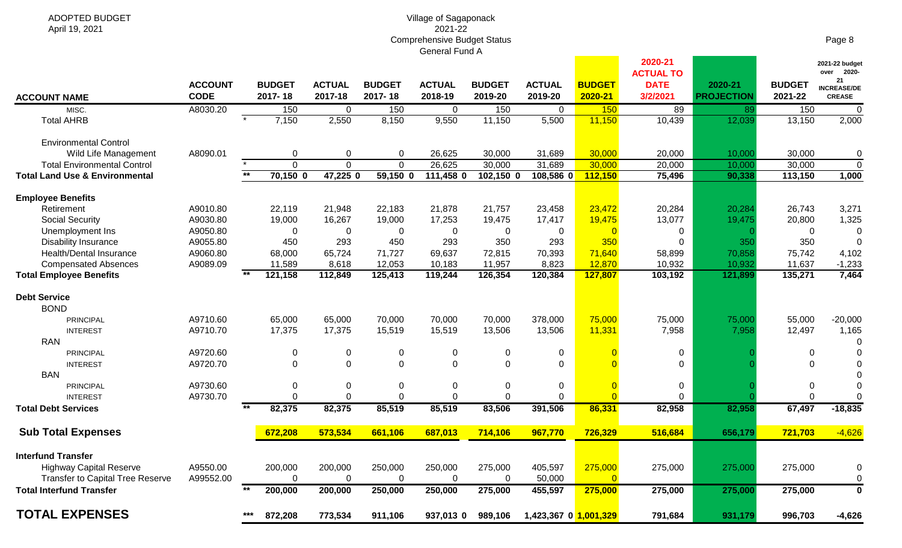| <b>ACCOUNT NAME</b>                       | <b>ACCOUNT</b><br><b>CODE</b> |       | <b>BUDGET</b><br>2017-18 | <b>ACTUAL</b><br>2017-18 | <b>BUDGET</b><br>2017-18 | <b>ACTUAL</b><br>2018-19 | <b>BUDGET</b><br>2019-20 | <b>ACTUAL</b><br>2019-20 | <b>BUDGET</b><br>2020-21 | 2020-21<br><b>ACTUAL TO</b><br><b>DATE</b><br>3/2/2021 | 2020-21<br><b>PROJECTION</b> | <b>BUDGET</b><br>2021-22 | 2021-22 budget<br>over 2020-<br>21<br><b>INCREASE/DE</b><br><b>CREASE</b> |
|-------------------------------------------|-------------------------------|-------|--------------------------|--------------------------|--------------------------|--------------------------|--------------------------|--------------------------|--------------------------|--------------------------------------------------------|------------------------------|--------------------------|---------------------------------------------------------------------------|
| MISC.                                     | A8030.20                      |       | 150                      | 0                        | 150                      | $\mathbf 0$              | 150                      | $\Omega$                 | 150                      | 89                                                     | 89                           | 150                      | $\mathbf 0$                                                               |
| <b>Total AHRB</b>                         |                               |       | 7,150                    | 2,550                    | 8,150                    | 9,550                    | 11,150                   | 5,500                    | 11,150                   | 10,439                                                 | 12,039                       | 13,150                   | 2,000                                                                     |
| <b>Environmental Control</b>              |                               |       |                          |                          |                          |                          |                          |                          |                          |                                                        |                              |                          |                                                                           |
| Wild Life Management                      | A8090.01                      |       | 0                        | 0                        | 0                        | 26,625                   | 30,000                   | 31,689                   | 30,000                   | 20,000                                                 | 10,000                       | 30,000                   | $\mathbf 0$                                                               |
| <b>Total Environmental Control</b>        |                               |       | $\mathbf 0$              | $\Omega$                 | $\overline{0}$           | 26,625                   | 30,000                   | 31,689                   | 30,000                   | 20,000                                                 | 10,000                       | 30,000                   | $\overline{0}$                                                            |
| <b>Total Land Use &amp; Environmental</b> |                               | $*$   | $70,150$ 0               | 47,225 0                 | $59,150$ 0               | 111,458 0                | 102,150 0                | 108,586 0                | 112,150                  | 75,496                                                 | 90,338                       | 113,150                  | 1,000                                                                     |
| <b>Employee Benefits</b>                  |                               |       |                          |                          |                          |                          |                          |                          |                          |                                                        |                              |                          |                                                                           |
| Retirement                                | A9010.80                      |       | 22,119                   | 21,948                   | 22,183                   | 21,878                   | 21,757                   | 23,458                   | 23,472                   | 20,284                                                 | 20,284                       | 26,743                   | 3,271                                                                     |
| <b>Social Security</b>                    | A9030.80                      |       | 19,000                   | 16,267                   | 19,000                   | 17,253                   | 19,475                   | 17,417                   | 19,475                   | 13,077                                                 | 19,475                       | 20,800                   | 1,325                                                                     |
| Unemployment Ins                          | A9050.80                      |       | $\mathbf 0$              | 0                        | 0                        | 0                        | 0                        | 0                        | $\overline{0}$           | 0                                                      |                              | 0                        | 0                                                                         |
| <b>Disability Insurance</b>               | A9055.80                      |       | 450                      | 293                      | 450                      | 293                      | 350                      | 293                      | 350                      | $\Omega$                                               | 350                          | 350                      | $\Omega$                                                                  |
| Health/Dental Insurance                   | A9060.80                      |       | 68,000                   | 65,724                   | 71,727                   | 69,637                   | 72,815                   | 70,393                   | 71,640                   | 58,899                                                 | 70,858                       | 75,742                   | 4,102                                                                     |
| <b>Compensated Absences</b>               | A9089.09                      |       | 11,589                   | 8,618                    | 12,053                   | 10,183                   | 11,957                   | 8,823                    | 12,870                   | 10,932                                                 | 10,932                       | 11,637                   | $-1,233$                                                                  |
| <b>Total Employee Benefits</b>            |                               | $***$ | 121,158                  | 112,849                  | 125,413                  | 119,244                  | 126,354                  | 120,384                  | 127,807                  | 103,192                                                | 121,899                      | 135,271                  | 7,464                                                                     |
| <b>Debt Service</b>                       |                               |       |                          |                          |                          |                          |                          |                          |                          |                                                        |                              |                          |                                                                           |
| <b>BOND</b>                               |                               |       |                          |                          |                          |                          |                          |                          |                          |                                                        |                              |                          |                                                                           |
| PRINCIPAL                                 | A9710.60                      |       | 65,000                   | 65,000                   | 70,000                   | 70,000                   | 70,000                   | 378,000                  | 75,000                   | 75,000                                                 | 75,000                       | 55,000                   | $-20,000$                                                                 |
| <b>INTEREST</b>                           | A9710.70                      |       | 17,375                   | 17,375                   | 15,519                   | 15,519                   | 13,506                   | 13,506                   | 11,331                   | 7,958                                                  | 7,958                        | 12,497                   | 1,165                                                                     |
| <b>RAN</b>                                |                               |       |                          |                          |                          |                          |                          |                          |                          |                                                        |                              |                          | $\Omega$                                                                  |
| <b>PRINCIPAL</b>                          | A9720.60                      |       | $\mathbf 0$              | 0                        | 0                        | $\mathbf 0$              | $\Omega$                 | 0                        | $\Omega$                 | 0                                                      |                              | 0                        | $\Omega$                                                                  |
| <b>INTEREST</b>                           | A9720.70                      |       | $\mathbf{0}$             | $\Omega$                 | $\Omega$                 | $\mathbf 0$              | $\Omega$                 | $\mathbf{0}$             |                          | $\mathbf 0$                                            |                              | $\Omega$                 | $\Omega$                                                                  |
| <b>BAN</b>                                |                               |       |                          |                          |                          |                          |                          |                          |                          |                                                        |                              |                          | $\Omega$                                                                  |
| PRINCIPAL                                 | A9730.60                      |       | $\mathbf 0$              | $\mathbf 0$              | 0                        | $\mathbf 0$              | 0                        | 0                        | $\overline{0}$           | 0                                                      |                              | 0                        | $\Omega$                                                                  |
| <b>INTEREST</b>                           | A9730.70                      |       | $\mathbf 0$              | $\mathbf 0$              | $\mathbf 0$              | $\mathbf 0$              | $\mathbf 0$              | $\mathbf{0}$             | $\overline{0}$           | $\mathbf 0$                                            |                              | $\mathbf 0$              | $\overline{0}$                                                            |
| <b>Total Debt Services</b>                |                               | $***$ | 82,375                   | 82,375                   | 85,519                   | 85,519                   | 83,506                   | 391,506                  | 86,331                   | 82,958                                                 | 82,958                       | 67,497                   | $-18,835$                                                                 |
| <b>Sub Total Expenses</b>                 |                               |       | 672,208                  | 573,534                  | 661,106                  | 687,013                  | 714,106                  | 967,770                  | 726,329                  | 516,684                                                | 656,179                      | 721,703                  | $-4,626$                                                                  |
| <b>Interfund Transfer</b>                 |                               |       |                          |                          |                          |                          |                          |                          |                          |                                                        |                              |                          |                                                                           |
| <b>Highway Capital Reserve</b>            | A9550.00                      |       | 200,000                  | 200,000                  | 250,000                  | 250,000                  | 275,000                  | 405,597                  | 275,000                  | 275,000                                                | 275,000                      | 275,000                  | $\mathbf 0$                                                               |
| <b>Transfer to Capital Tree Reserve</b>   | A99552.00                     |       | $\mathbf 0$              | $\mathbf 0$              | $\mathbf 0$              | $\mathbf 0$              | $\Omega$                 | 50,000                   | $\overline{0}$           |                                                        |                              |                          | $\mathbf 0$                                                               |
| <b>Total Interfund Transfer</b>           |                               | $**$  | 200,000                  | 200,000                  | 250,000                  | 250,000                  | 275,000                  | 455,597                  | 275,000                  | 275,000                                                | 275,000                      | 275,000                  | $\overline{\mathbf{0}}$                                                   |
| <b>TOTAL EXPENSES</b>                     |                               | $***$ | 872,208                  | 773,534                  | 911,106                  | 937,013 0                | 989,106                  | 1,423,367 0 1,001,329    |                          | 791,684                                                | 931,179                      | 996,703                  | $-4,626$                                                                  |